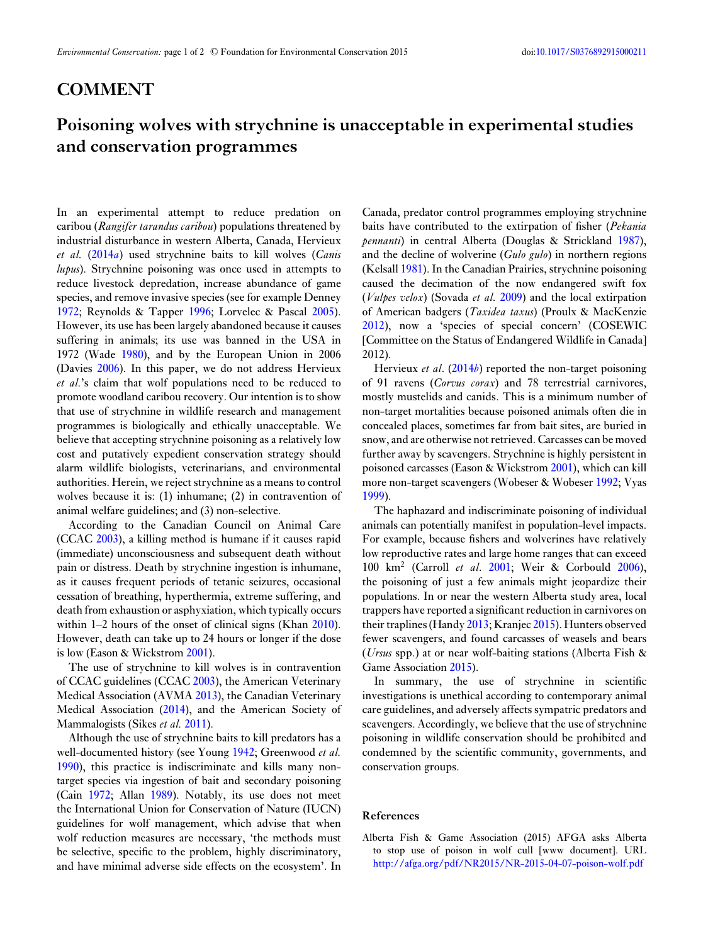## **COMMENT**

## **Poisoning wolves with strychnine is unacceptable in experimental studies and conservation programmes**

In an experimental attempt to reduce predation on caribou (*Rangifer tarandus caribou*) populations threatened by industrial disturbance in western Alberta, Canada, Hervieux *et al.* [\(2014](#page-1-0)*a*) used strychnine baits to kill wolves (*Canis lupus*). Strychnine poisoning was once used in attempts to reduce livestock depredation, increase abundance of game species, and remove invasive species (see for example Denney [1972;](#page-1-0) Reynolds & Tapper [1996;](#page-1-0) Lorvelec & Pascal [2005\)](#page-1-0). However, its use has been largely abandoned because it causes suffering in animals; its use was banned in the USA in 1972 (Wade [1980\)](#page-1-0), and by the European Union in 2006 (Davies [2006\)](#page-1-0). In this paper, we do not address Hervieux *et al.*'s claim that wolf populations need to be reduced to promote woodland caribou recovery. Our intention is to show that use of strychnine in wildlife research and management programmes is biologically and ethically unacceptable. We believe that accepting strychnine poisoning as a relatively low cost and putatively expedient conservation strategy should alarm wildlife biologists, veterinarians, and environmental authorities. Herein, we reject strychnine as a means to control wolves because it is: (1) inhumane; (2) in contravention of animal welfare guidelines; and (3) non-selective.

According to the Canadian Council on Animal Care (CCAC [2003\)](#page-1-0), a killing method is humane if it causes rapid (immediate) unconsciousness and subsequent death without pain or distress. Death by strychnine ingestion is inhumane, as it causes frequent periods of tetanic seizures, occasional cessation of breathing, hyperthermia, extreme suffering, and death from exhaustion or asphyxiation, which typically occurs within 1–2 hours of the onset of clinical signs (Khan [2010\)](#page-1-0). However, death can take up to 24 hours or longer if the dose is low (Eason & Wickstrom [2001\)](#page-1-0).

The use of strychnine to kill wolves is in contravention of CCAC guidelines (CCAC [2003\)](#page-1-0), the American Veterinary Medical Association (AVMA [2013\)](#page-1-0), the Canadian Veterinary Medical Association [\(2014\)](#page-1-0), and the American Society of Mammalogists (Sikes *et al.* [2011\)](#page-1-0).

Although the use of strychnine baits to kill predators has a well-documented history (see Young [1942;](#page-1-0) Greenwood *et al.* [1990\)](#page-1-0), this practice is indiscriminate and kills many nontarget species via ingestion of bait and secondary poisoning (Cain [1972;](#page-1-0) Allan [1989\)](#page-1-0). Notably, its use does not meet the International Union for Conservation of Nature (IUCN) guidelines for wolf management, which advise that when wolf reduction measures are necessary, 'the methods must be selective, specific to the problem, highly discriminatory, and have minimal adverse side effects on the ecosystem'. In

Canada, predator control programmes employing strychnine baits have contributed to the extirpation of fisher (*Pekania pennanti*) in central Alberta (Douglas & Strickland [1987\)](#page-1-0), and the decline of wolverine (*Gulo gulo*) in northern regions (Kelsall [1981\)](#page-1-0). In the Canadian Prairies, strychnine poisoning caused the decimation of the now endangered swift fox (*Vulpes velox*) (Sovada *et al.* [2009\)](#page-1-0) and the local extirpation of American badgers (*Taxidea taxus*) (Proulx & MacKenzie [2012\)](#page-1-0), now a 'species of special concern' (COSEWIC [Committee on the Status of Endangered Wildlife in Canada] 2012).

Hervieux *et al*. [\(2014](#page-1-0)*b*) reported the non-target poisoning of 91 ravens (*Corvus corax*) and 78 terrestrial carnivores, mostly mustelids and canids. This is a minimum number of non-target mortalities because poisoned animals often die in concealed places, sometimes far from bait sites, are buried in snow, and are otherwise not retrieved. Carcasses can be moved further away by scavengers. Strychnine is highly persistent in poisoned carcasses (Eason & Wickstrom [2001\)](#page-1-0), which can kill more non-target scavengers (Wobeser & Wobeser [1992;](#page-1-0) Vyas [1999\)](#page-1-0).

The haphazard and indiscriminate poisoning of individual animals can potentially manifest in population-level impacts. For example, because fishers and wolverines have relatively low reproductive rates and large home ranges that can exceed 100 km<sup>2</sup> (Carroll *et al*. [2001;](#page-1-0) Weir & Corbould [2006\)](#page-1-0), the poisoning of just a few animals might jeopardize their populations. In or near the western Alberta study area, local trappers have reported a significant reduction in carnivores on their traplines (Handy [2013;](#page-1-0) Kranjec [2015\)](#page-1-0). Hunters observed fewer scavengers, and found carcasses of weasels and bears (*Ursus* spp.) at or near wolf-baiting stations (Alberta Fish & Game Association 2015).

In summary, the use of strychnine in scientific investigations is unethical according to contemporary animal care guidelines, and adversely affects sympatric predators and scavengers. Accordingly, we believe that the use of strychnine poisoning in wildlife conservation should be prohibited and condemned by the scientific community, governments, and conservation groups.

## **References**

Alberta Fish & Game Association (2015) AFGA asks Alberta to stop use of poison in wolf cull [www document]. URL <http://afga.org/pdf/NR2015/NR-2015-04-07-poison-wolf.pdf>